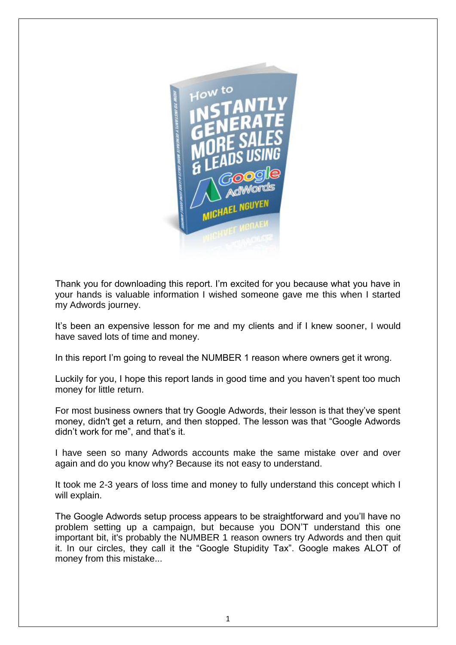

Thank you for downloading this report. I'm excited for you because what you have in your hands is valuable information I wished someone gave me this when I started my Adwords journey.

It's been an expensive lesson for me and my clients and if I knew sooner, I would have saved lots of time and money.

In this report I'm going to reveal the NUMBER 1 reason where owners get it wrong.

Luckily for you, I hope this report lands in good time and you haven't spent too much money for little return.

For most business owners that try Google Adwords, their lesson is that they've spent money, didn't get a return, and then stopped. The lesson was that "Google Adwords didn't work for me", and that's it.

I have seen so many Adwords accounts make the same mistake over and over again and do you know why? Because its not easy to understand.

It took me 2-3 years of loss time and money to fully understand this concept which I will explain.

The Google Adwords setup process appears to be straightforward and you'll have no problem setting up a campaign, but because you DON'T understand this one important bit, it's probably the NUMBER 1 reason owners try Adwords and then quit it. In our circles, they call it the "Google Stupidity Tax". Google makes ALOT of money from this mistake...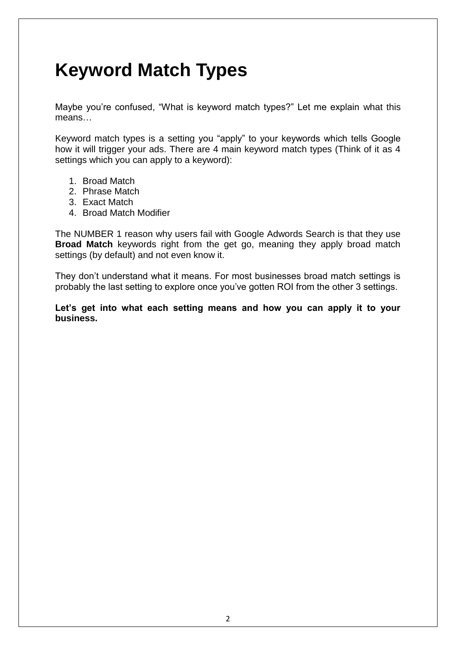## **Keyword Match Types**

Maybe you're confused, "What is keyword match types?" Let me explain what this means…

Keyword match types is a setting you "apply" to your keywords which tells Google how it will trigger your ads. There are 4 main keyword match types (Think of it as 4 settings which you can apply to a keyword):

- 1. Broad Match
- 2. Phrase Match
- 3. Exact Match
- 4. Broad Match Modifier

The NUMBER 1 reason why users fail with Google Adwords Search is that they use **Broad Match** keywords right from the get go, meaning they apply broad match settings (by default) and not even know it.

They don't understand what it means. For most businesses broad match settings is probably the last setting to explore once you've gotten ROI from the other 3 settings.

**Let's get into what each setting means and how you can apply it to your business.**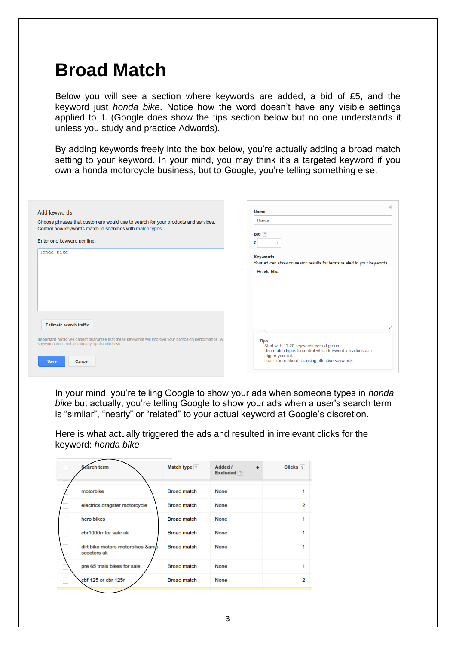### **Broad Match**

Below you will see a section where keywords are added, a bid of £5, and the keyword just *honda bike*. Notice how the word doesn't have any visible settings applied to it. (Google does show the tips section below but no one understands it unless you study and practice Adwords).

By adding keywords freely into the box below, you're actually adding a broad match setting to your keyword. In your mind, you may think it's a targeted keyword if you own a honda motorcycle business, but to Google, you're telling something else.

| Add keywords                                                                                                                                         | $\times$<br><b>Name</b><br>Honda                                                                                                      |
|------------------------------------------------------------------------------------------------------------------------------------------------------|---------------------------------------------------------------------------------------------------------------------------------------|
| Choose phrases that customers would use to search for your products and services.<br>Control how keywords match to searches with match types.        | $Bid$ ?                                                                                                                               |
| Enter one keyword per line.<br>Honda bike                                                                                                            | £<br>5<br><b>Keywords</b>                                                                                                             |
|                                                                                                                                                      | Your ad can show on search results for terms related to your keywords.<br>Honda bike                                                  |
|                                                                                                                                                      |                                                                                                                                       |
|                                                                                                                                                      |                                                                                                                                       |
| <b>Estimate search traffic</b>                                                                                                                       |                                                                                                                                       |
| Important note: We cannot guarantee that these keywords will improve your campaign performance. We<br>keywords does not violate any applicable laws. | <b>Tips</b><br>Start with 10-20 keywords per ad group.<br>Use match types to control which keyword variations can<br>trigger your ad. |
| Cancel<br><b>Save</b>                                                                                                                                | Learn more about choosing effective keywords.                                                                                         |

In your mind, you're telling Google to show your ads when someone types in *honda bike* but actually, you're telling Google to show your ads when a user's search term is "similar", "nearly" or "related" to your actual keyword at Google's discretion.

Here is what actually triggered the ads and resulted in irrelevant clicks for the keyword: *honda bike*

| Search term                                     | Match type ?       | Added /<br>J<br>Excluded ? | Clicks <sup>?</sup> |
|-------------------------------------------------|--------------------|----------------------------|---------------------|
| motorbike                                       | <b>Broad match</b> | None                       |                     |
| electrick dragster motorcycle                   | <b>Broad match</b> | None                       | 2                   |
| hero bikes                                      | <b>Broad match</b> | None                       |                     |
| cbr1000rr for sale uk                           | <b>Broad match</b> | None                       |                     |
| dirt bike motors motorbikes &amb<br>scooters uk | <b>Broad match</b> | None                       |                     |
| pre 65 trials bikes for sale                    | <b>Broad match</b> | None                       |                     |
| cbf 125 or cbr 125r                             | <b>Broad match</b> | None                       | 2                   |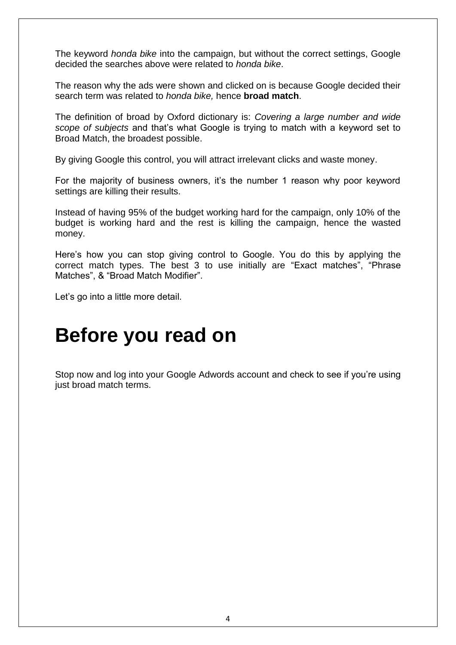The keyword *honda bike* into the campaign, but without the correct settings, Google decided the searches above were related to *honda bike*.

The reason why the ads were shown and clicked on is because Google decided their search term was related to *honda bike,* hence **broad match**.

The definition of broad by Oxford dictionary is: *Covering a large number and wide scope of subjects* and that's what Google is trying to match with a keyword set to Broad Match, the broadest possible.

By giving Google this control, you will attract irrelevant clicks and waste money.

For the majority of business owners, it's the number 1 reason why poor keyword settings are killing their results.

Instead of having 95% of the budget working hard for the campaign, only 10% of the budget is working hard and the rest is killing the campaign, hence the wasted money.

Here's how you can stop giving control to Google. You do this by applying the correct match types. The best 3 to use initially are "Exact matches", "Phrase Matches", & "Broad Match Modifier".

Let's go into a little more detail.

# **Before you read on**

Stop now and log into your Google Adwords account and check to see if you're using just broad match terms.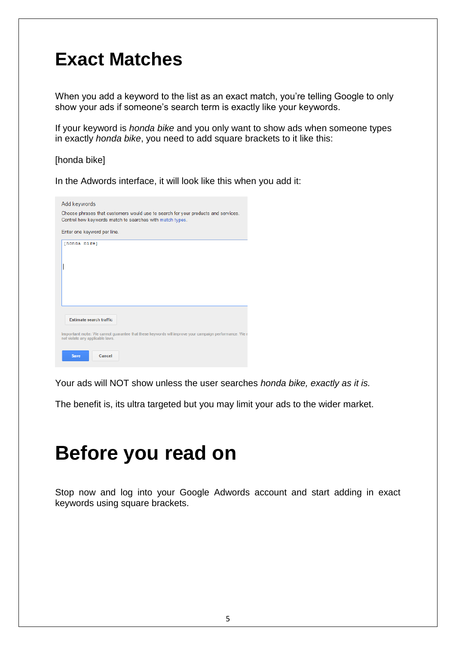#### **Exact Matches**

When you add a keyword to the list as an exact match, you're telling Google to only show your ads if someone's search term is exactly like your keywords.

If your keyword is *honda bike* and you only want to show ads when someone types in exactly *honda bike*, you need to add square brackets to it like this:

[honda bike]

In the Adwords interface, it will look like this when you add it:

| Add keywords                                                                                                                                  |
|-----------------------------------------------------------------------------------------------------------------------------------------------|
| Choose phrases that customers would use to search for your products and services.<br>Control how keywords match to searches with match types. |
| Enter one keyword per line.                                                                                                                   |
| [honda bike]                                                                                                                                  |
|                                                                                                                                               |
|                                                                                                                                               |
|                                                                                                                                               |
|                                                                                                                                               |
|                                                                                                                                               |
| <b>Estimate search traffic</b>                                                                                                                |
| Important note: We cannot quarantee that these keywords will improve your campaign performance. We r<br>not violate any applicable laws.      |
| <b>Save</b><br>Cancel                                                                                                                         |

Your ads will NOT show unless the user searches *honda bike, exactly as it is.*

The benefit is, its ultra targeted but you may limit your ads to the wider market.

## **Before you read on**

Stop now and log into your Google Adwords account and start adding in exact keywords using square brackets.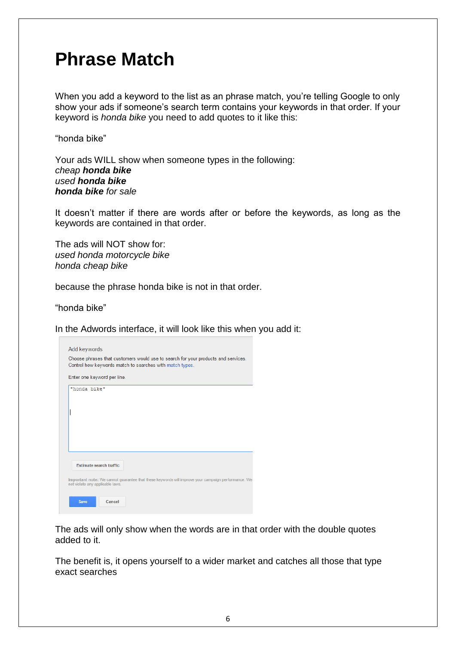#### **Phrase Match**

When you add a keyword to the list as an phrase match, you're telling Google to only show your ads if someone's search term contains your keywords in that order. If your keyword is *honda bike* you need to add quotes to it like this:

"honda bike"

Your ads WILL show when someone types in the following: *cheap honda bike used honda bike honda bike for sale*

It doesn't matter if there are words after or before the keywords, as long as the keywords are contained in that order.

The ads will NOT show for: *used honda motorcycle bike honda cheap bike*

because the phrase honda bike is not in that order.

"honda bike"

In the Adwords interface, it will look like this when you add it:

| Add keywords                                                                                                                                  |
|-----------------------------------------------------------------------------------------------------------------------------------------------|
| Choose phrases that customers would use to search for your products and services.<br>Control how keywords match to searches with match types. |
| Enter one keyword per line.                                                                                                                   |
| "honda bike"                                                                                                                                  |
|                                                                                                                                               |
|                                                                                                                                               |
|                                                                                                                                               |
|                                                                                                                                               |
| Estimate search traffic                                                                                                                       |
| Important note: We cannot quarantee that these keywords will improve your campaign performance. We<br>not violate any applicable laws.        |
| Cancel<br><b>Save</b>                                                                                                                         |

The ads will only show when the words are in that order with the double quotes added to it.

The benefit is, it opens yourself to a wider market and catches all those that type exact searches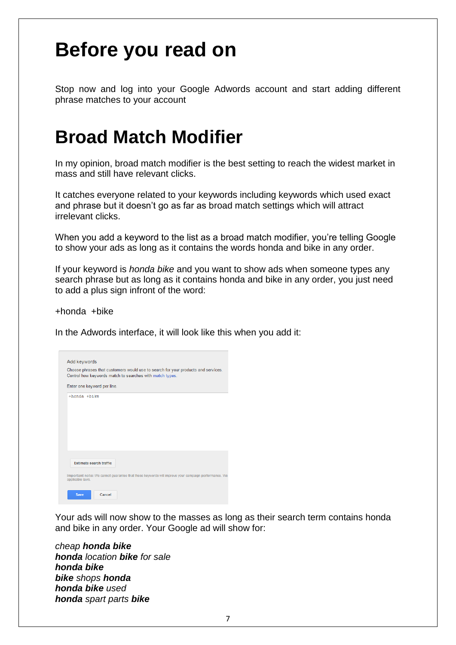## **Before you read on**

Stop now and log into your Google Adwords account and start adding different phrase matches to your account

### **Broad Match Modifier**

In my opinion, broad match modifier is the best setting to reach the widest market in mass and still have relevant clicks.

It catches everyone related to your keywords including keywords which used exact and phrase but it doesn't go as far as broad match settings which will attract irrelevant clicks.

When you add a keyword to the list as a broad match modifier, you're telling Google to show your ads as long as it contains the words honda and bike in any order.

If your keyword is *honda bike* and you want to show ads when someone types any search phrase but as long as it contains honda and bike in any order, you just need to add a plus sign infront of the word:

+honda +bike

In the Adwords interface, it will look like this when you add it:

| Add keywords                                                                                                                                             |
|----------------------------------------------------------------------------------------------------------------------------------------------------------|
| Choose phrases that customers would use to search for your products and services.<br>Control how keywords match to searches with match types.            |
| Enter one keyword per line.                                                                                                                              |
| +honda +bike                                                                                                                                             |
| <b>Estimate search traffic</b><br>Important note: We cannot quarantee that these keywords will improve your campaign performance. We<br>applicable laws. |
| <b>Save</b><br>Cancel                                                                                                                                    |

Your ads will now show to the masses as long as their search term contains honda and bike in any order. Your Google ad will show for:

*cheap honda bike honda location bike for sale honda bike bike shops honda honda bike used honda spart parts bike*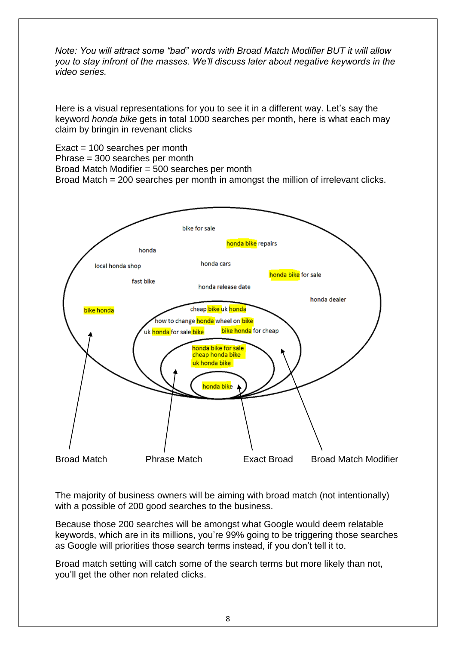*Note: You will attract some "bad" words with Broad Match Modifier BUT it will allow you to stay infront of the masses. We'll discuss later about negative keywords in the video series.*

Here is a visual representations for you to see it in a different way. Let's say the keyword *honda bike* gets in total 1000 searches per month, here is what each may claim by bringin in revenant clicks

Exact = 100 searches per month Phrase = 300 searches per month Broad Match Modifier = 500 searches per month Broad Match = 200 searches per month in amongst the million of irrelevant clicks.



The majority of business owners will be aiming with broad match (not intentionally) with a possible of 200 good searches to the business.

Because those 200 searches will be amongst what Google would deem relatable keywords, which are in its millions, you're 99% going to be triggering those searches as Google will priorities those search terms instead, if you don't tell it to.

Broad match setting will catch some of the search terms but more likely than not, you'll get the other non related clicks.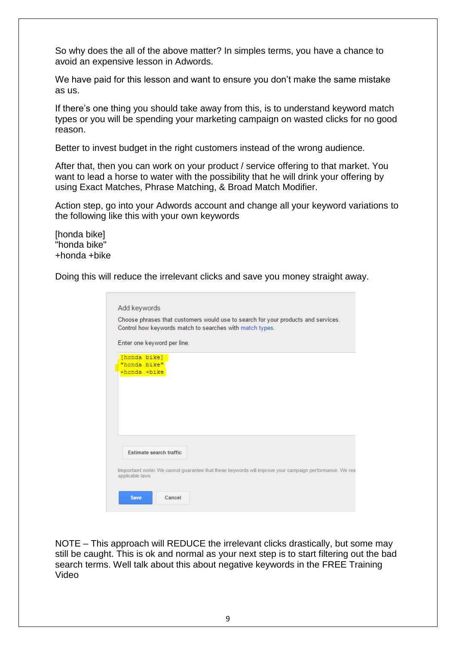So why does the all of the above matter? In simples terms, you have a chance to avoid an expensive lesson in Adwords.

We have paid for this lesson and want to ensure you don't make the same mistake as us.

If there's one thing you should take away from this, is to understand keyword match types or you will be spending your marketing campaign on wasted clicks for no good reason.

Better to invest budget in the right customers instead of the wrong audience.

After that, then you can work on your product / service offering to that market. You want to lead a horse to water with the possibility that he will drink your offering by using Exact Matches, Phrase Matching, & Broad Match Modifier.

Action step, go into your Adwords account and change all your keyword variations to the following like this with your own keywords

[honda bike] "honda bike" +honda +bike

Doing this will reduce the irrelevant clicks and save you money straight away.

| Important note: We cannot quarantee that these keywords will improve your campaign performance. We res |
|--------------------------------------------------------------------------------------------------------|
|                                                                                                        |

NOTE – This approach will REDUCE the irrelevant clicks drastically, but some may still be caught. This is ok and normal as your next step is to start filtering out the bad search terms. Well talk about this about negative keywords in the FREE Training Video